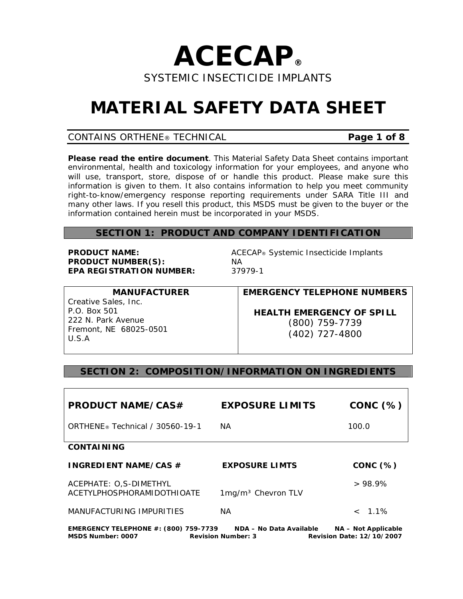

# **MATERIAL SAFETY DATA SHEET**

## CONTAINS ORTHENE® TECHNICAL **Page 1 of 8**

**Please read the entire document**. This Material Safety Data Sheet contains important environmental, health and toxicology information for your employees, and anyone who will use, transport, store, dispose of or handle this product. Please make sure this information is given to them. It also contains information to help you meet community right-to-know/emergency response reporting requirements under SARA Title III and many other laws. If you resell this product, this MSDS must be given to the buyer or the information contained herein must be incorporated in your MSDS.

## **SECTION 1: PRODUCT AND COMPANY IDENTIFICATION**

**PRODUCT NUMBER(S):** NA **EPA REGISTRATION NUMBER:** 37979-1

**PRODUCT NAME:** *A*CEC*A*P® Systemic Insecticide Implants

**MANUFACTURER**  Creative Sales, Inc. P.O. Box 501 222 N. Park Avenue Fremont, NE 68025-0501 U.S.A

**EMERGENCY TELEPHONE NUMBERS**

*HEALTH EMERGENCY OF SPILL* 

(800) 759-7739 (402) 727-4800

## **SECTION 2: COMPOSITION/INFORMATION ON INGREDIENTS**

| <b>PRODUCT NAME/CAS#</b>                             | <b>EXPOSURE LIMITS</b>         | CONC(%)             |
|------------------------------------------------------|--------------------------------|---------------------|
| ORTHENE <sup>®</sup> Technical / 30560-19-1          | <b>NA</b>                      | 100.0               |
| <b>CONTAINING</b>                                    |                                |                     |
| <b>INGREDIENT NAME/CAS #</b>                         | <b>EXPOSURE LIMTS</b>          | $CONC$ $(\%)$       |
| ACEPHATE: O,S-DIMETHYL<br>ACETYLPHOSPHORAMIDOTHIOATE | 1mg/m <sup>3</sup> Chevron TLV | >98.9%              |
| MANUFACTURING IMPURITIES                             | <b>NA</b>                      | $< 1.1\%$           |
| <b>EMERGENCY TELEPHONE #: (800) 759-7739</b>         | NDA - No Data Available        | NA - Not Applicable |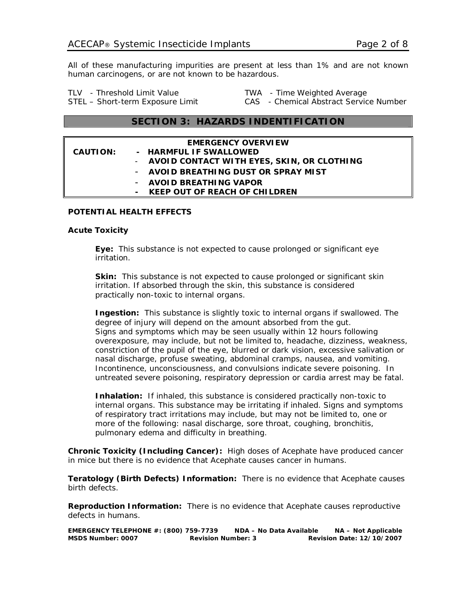All of these manufacturing impurities are present at less than 1% and are not known human carcinogens, or are not known to be hazardous.

TLV - Threshold Limit Value TWA - Time Weighted Average

STEL – Short-term Exposure Limit CAS - Chemical Abstract Service Number

## **SECTION 3: HAZARDS INDENTIFICATION**

|                 | <b>EMERGENCY OVERVIEW</b>                    |
|-----------------|----------------------------------------------|
| <b>CAUTION:</b> | - HARMFUL IF SWALLOWED                       |
|                 | - AVOID CONTACT WITH EYES, SKIN, OR CLOTHING |
|                 | - AVOID BREATHING DUST OR SPRAY MIST         |
|                 | - AVOID BREATHING VAPOR                      |
|                 | - KEEP OUT OF REACH OF CHILDREN              |

#### **POTENTIAL HEALTH EFFECTS**

#### **Acute Toxicity**

 **Eye:** This substance is not expected to cause prolonged or significant eye irritation.

**Skin:** This substance is not expected to cause prolonged or significant skin irritation. If absorbed through the skin, this substance is considered practically non-toxic to internal organs.

**Ingestion:** This substance is slightly toxic to internal organs if swallowed. The degree of injury will depend on the amount absorbed from the gut. Signs and symptoms which may be seen usually within 12 hours following overexposure, may include, but not be limited to, headache, dizziness, weakness, constriction of the pupil of the eye, blurred or dark vision, excessive salivation or nasal discharge, profuse sweating, abdominal cramps, nausea, and vomiting. Incontinence, unconsciousness, and convulsions indicate severe poisoning. In untreated severe poisoning, respiratory depression or cardia arrest may be fatal.

 **Inhalation:** If inhaled, this substance is considered practically non-toxic to internal organs. This substance may be irritating if inhaled. Signs and symptoms of respiratory tract irritations may include, but may not be limited to, one or more of the following: nasal discharge, sore throat, coughing, bronchitis, pulmonary edema and difficulty in breathing.

**Chronic Toxicity (Including Cancer):** High doses of Acephate have produced cancer in mice but there is no evidence that Acephate causes cancer in humans.

**Teratology (Birth Defects) Information:** There is no evidence that Acephate causes birth defects.

**Reproduction Information:** There is no evidence that Acephate causes reproductive defects in humans.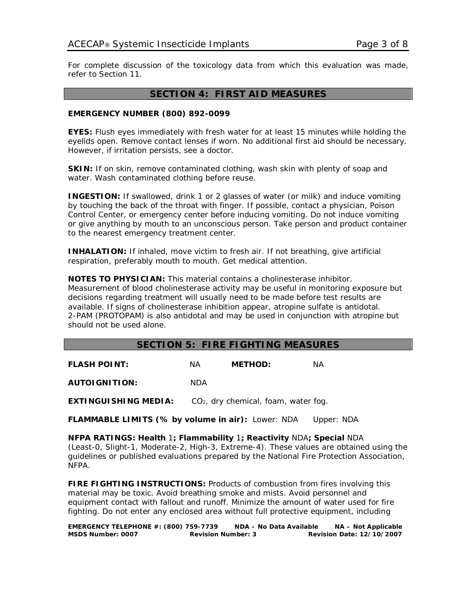For complete discussion of the toxicology data from which this evaluation was made, refer to Section 11.

#### **SECTION 4: FIRST AID MEASURES**

#### **EMERGENCY NUMBER (800) 892-0099**

**EYES:** Flush eyes immediately with fresh water for at least 15 minutes while holding the eyelids open. Remove contact lenses if worn. No additional first aid should be necessary. However, if irritation persists, see a doctor.

**SKIN:** If on skin, remove contaminated clothing, wash skin with plenty of soap and water. Wash contaminated clothing before reuse.

**INGESTION:** If swallowed, drink 1 or 2 glasses of water (or milk) and induce vomiting by touching the back of the throat with finger. If possible, contact a physician, Poison Control Center, or emergency center before inducing vomiting. Do not induce vomiting or give anything by mouth to an unconscious person. Take person and product container to the nearest emergency treatment center.

**INHALATION:** If inhaled, move victim to fresh air. If not breathing, give artificial respiration, preferably mouth to mouth. Get medical attention.

**NOTES TO PHYSICIAN:** This material contains a cholinesterase inhibitor. Measurement of blood cholinesterase activity may be useful in monitoring exposure but decisions regarding treatment will usually need to be made before test results are available. If signs of cholinesterase inhibition appear, atropine sulfate is antidotal. 2-PAM (PROTOPAM) is also antidotal and may be used in conjunction with atropine but should not be used alone.

### **SECTION 5: FIRE FIGHTING MEASURES**

**FLASH POINT:** NA **METHOD:** NA **AUTOIGNITION:** NDA **EXTINGUISHING MEDIA:** CO<sub>2</sub>, dry chemical, foam, water fog.

**FLAMMABLE LIMITS (% by volume in air):** Lower: NDA Upper: NDA

**NFPA RATINGS: Health** 1**; Flammability** 1**; Reactivity** NDA**; Special** NDA (Least-0, Slight-1, Moderate-2, High-3, Extreme-4). These values are obtained using the guidelines or published evaluations prepared by the National Fire Protection Association, NFPA.

**FIRE FIGHTING INSTRUCTIONS:** Products of combustion from fires involving this material may be toxic. Avoid breathing smoke and mists. Avoid personnel and equipment contact with fallout and runoff. Minimize the amount of water used for fire fighting. Do not enter any enclosed area without full protective equipment, including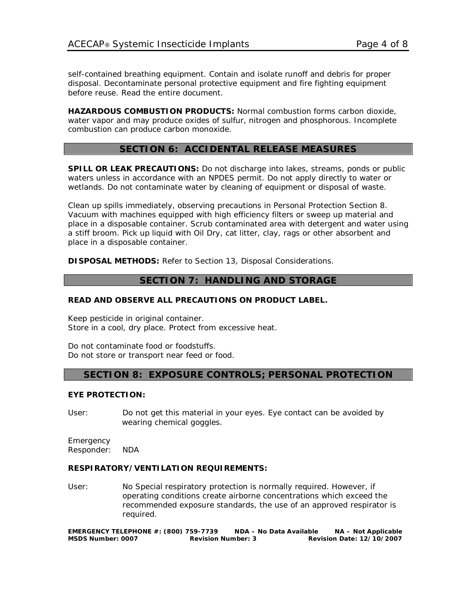self-contained breathing equipment. Contain and isolate runoff and debris for proper disposal. Decontaminate personal protective equipment and fire fighting equipment before reuse. Read the entire document.

**HAZARDOUS COMBUSTION PRODUCTS:** Normal combustion forms carbon dioxide, water vapor and may produce oxides of sulfur, nitrogen and phosphorous. Incomplete combustion can produce carbon monoxide.

## **SECTION 6: ACCIDENTAL RELEASE MEASURES**

**SPILL OR LEAK PRECAUTIONS:** Do not discharge into lakes, streams, ponds or public waters unless in accordance with an NPDES permit. Do not apply directly to water or wetlands. Do not contaminate water by cleaning of equipment or disposal of waste.

Clean up spills immediately, observing precautions in Personal Protection Section 8. Vacuum with machines equipped with high efficiency filters or sweep up material and place in a disposable container. Scrub contaminated area with detergent and water using a stiff broom. Pick up liquid with Oil Dry, cat litter, clay, rags or other absorbent and place in a disposable container.

**DISPOSAL METHODS:** Refer to Section 13, Disposal Considerations.

## **SECTION 7: HANDLING AND STORAGE**

#### **READ AND OBSERVE ALL PRECAUTIONS ON PRODUCT LABEL.**

Keep pesticide in original container. Store in a cool, dry place. Protect from excessive heat.

Do not contaminate food or foodstuffs. Do not store or transport near feed or food.

#### **SECTION 8: EXPOSURE CONTROLS; PERSONAL PROTECTION**

#### **EYE PROTECTION:**

User: Do not get this material in your eyes. Eye contact can be avoided by wearing chemical goggles.

Emergency Responder: NDA

#### **RESPIRATORY/VENTILATION REQUIREMENTS:**

User: No Special respiratory protection is normally required. However, if operating conditions create airborne concentrations which exceed the recommended exposure standards, the use of an approved respirator is required.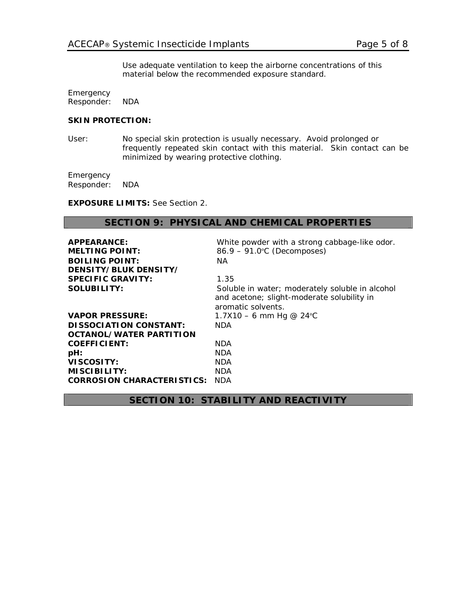Use adequate ventilation to keep the airborne concentrations of this material below the recommended exposure standard.

Emergency Responder: NDA

#### **SKIN PROTECTION:**

User: No special skin protection is usually necessary. Avoid prolonged or frequently repeated skin contact with this material. Skin contact can be minimized by wearing protective clothing.

**Emergency** Responder: NDA

**EXPOSURE LIMITS:** See Section 2.

#### **SECTION 9: PHYSICAL AND CHEMICAL PROPERTIES**

| APPEARANCE:                       | White powder with a strong cabbage-like odor.                                                                       |
|-----------------------------------|---------------------------------------------------------------------------------------------------------------------|
| <b>MELTING POINT:</b>             | 86.9 - 91.0°C (Decomposes)                                                                                          |
| <b>BOILING POINT:</b>             | NA.                                                                                                                 |
| DENSITY/BLUK DENSITY/             |                                                                                                                     |
| <b>SPECIFIC GRAVITY:</b>          | 1.35                                                                                                                |
| <b>SOLUBILITY:</b>                | Soluble in water; moderately soluble in alcohol<br>and acetone; slight-moderate solubility in<br>aromatic solvents. |
| <b>VAPOR PRESSURE:</b>            | 1.7X10 – 6 mm Hg @ 24 °C                                                                                            |
| <b>DISSOCIATION CONSTANT:</b>     | <b>NDA</b>                                                                                                          |
| <b>OCTANOL/WATER PARTITION</b>    |                                                                                                                     |
| <b>COEFFICIENT:</b>               | <b>NDA</b>                                                                                                          |
| pH:                               | <b>NDA</b>                                                                                                          |
| VISCOSITY:                        | <b>NDA</b>                                                                                                          |
| MISCIBILITY:                      | <b>NDA</b>                                                                                                          |
| <b>CORROSION CHARACTERISTICS:</b> | <b>NDA</b>                                                                                                          |

## **SECTION 10: STABILITY AND REACTIVITY**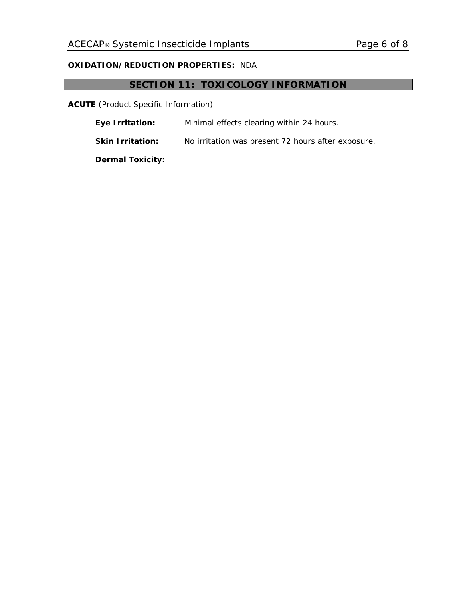## **OXIDATION/REDUCTION PROPERTIES:** NDA

## **SECTION 11: TOXICOLOGY INFORMATION**

**ACUTE** (Product Specific Information)

**Eye Irritation:** Minimal effects clearing within 24 hours.

**Skin Irritation:** No irritation was present 72 hours after exposure.

 **Dermal Toxicity:**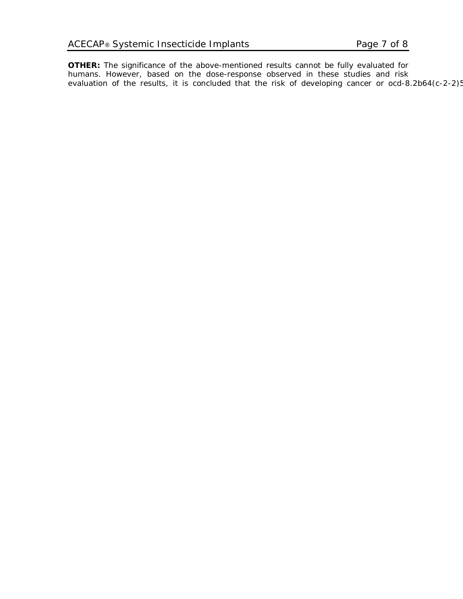**OTHER:** The significance of the above-mentioned results cannot be fully evaluated for humans. However, based on the dose-response observed in these studies and risk